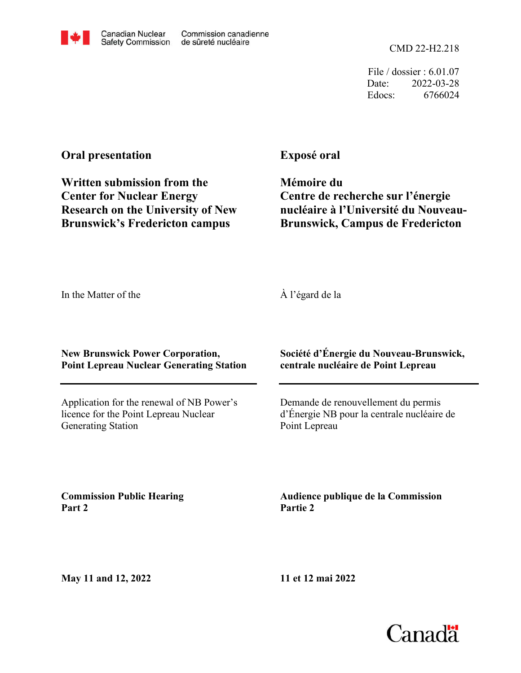File / dossier : 6.01.07 Date: 2022-03-28 Edocs: 6766024

## **Oral presentation**

Canadian Nuclear

**Safety Commission** 

Commission canadienne

de sûreté nucléaire

**Exposé oral**

**Brunswick's Fredericton campus Research on the University of New Center for Nuclear Energy Written submission from the**

**Mémoire du Centre de recherche sur l'énergie nucléaire à l'Université du Nouveau-Brunswick, Campus de Fredericton**

In the Matter of the

À l'égard de la

**New Brunswick Power Corporation, Point Lepreau Nuclear Generating Station**

Application for the renewal of NB Power's licence for the Point Lepreau Nuclear Generating Station

## **Société d'Énergie du Nouveau-Brunswick, centrale nucléaire de Point Lepreau**

Demande de renouvellement du permis d'Énergie NB pour la centrale nucléaire de Point Lepreau

**Commission Public Hearing Part 2**

**Audience publique de la Commission Partie 2**

**May 11 and 12, 2022**



**11 et 12 mai 2022**

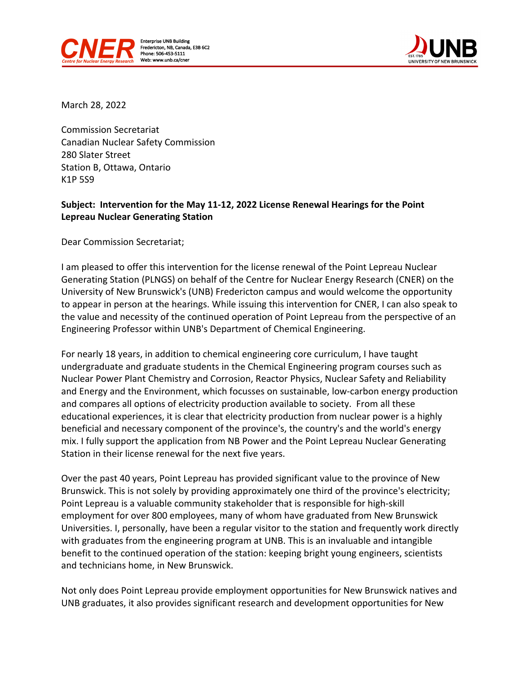



March 28, 2022

Commission Secretariat Canadian Nuclear Safety Commission 280 Slater Street Station B, Ottawa, Ontario K1P 5S9

## **Subject: Intervention for the May 11-12, 2022 License Renewal Hearings for the Point Lepreau Nuclear Generating Station**

Dear Commission Secretariat;

I am pleased to offer this intervention for the license renewal of the Point Lepreau Nuclear Generating Station (PLNGS) on behalf of the Centre for Nuclear Energy Research (CNER) on the University of New Brunswick's (UNB) Fredericton campus and would welcome the opportunity to appear in person at the hearings. While issuing this intervention for CNER, I can also speak to the value and necessity of the continued operation of Point Lepreau from the perspective of an Engineering Professor within UNB's Department of Chemical Engineering.

For nearly 18 years, in addition to chemical engineering core curriculum, I have taught undergraduate and graduate students in the Chemical Engineering program courses such as Nuclear Power Plant Chemistry and Corrosion, Reactor Physics, Nuclear Safety and Reliability and Energy and the Environment, which focusses on sustainable, low-carbon energy production and compares all options of electricity production available to society. From all these educational experiences, it is clear that electricity production from nuclear power is a highly beneficial and necessary component of the province's, the country's and the world's energy mix. I fully support the application from NB Power and the Point Lepreau Nuclear Generating Station in their license renewal for the next five years.

Over the past 40 years, Point Lepreau has provided significant value to the province of New Brunswick. This is not solely by providing approximately one third of the province's electricity; Point Lepreau is a valuable community stakeholder that is responsible for high-skill employment for over 800 employees, many of whom have graduated from New Brunswick Universities. I, personally, have been a regular visitor to the station and frequently work directly with graduates from the engineering program at UNB. This is an invaluable and intangible benefit to the continued operation of the station: keeping bright young engineers, scientists and technicians home, in New Brunswick.

Not only does Point Lepreau provide employment opportunities for New Brunswick natives and UNB graduates, it also provides significant research and development opportunities for New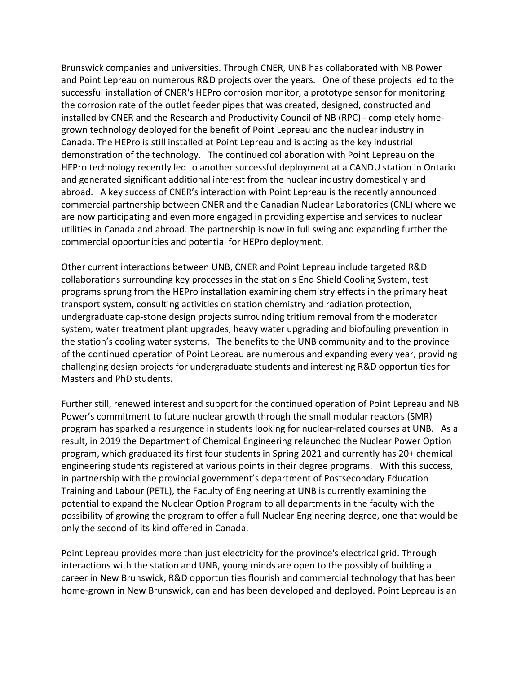Brunswick companies and universities. Through CNER, UNB has collaborated with NB Power and Point Lepreau on numerous R&D projects over the years. One of these projects led to the successful installation of CNER's HEPro corrosion monitor, a prototype sensor for monitoring the corrosion rate of the outlet feeder pipes that was created, designed, constructed and installed by CNER and the Research and Productivity Council of NB (RPC) - completely homegrown technology deployed for the benefit of Point Lepreau and the nuclear industry in Canada. The HEPro is still installed at Point Lepreau and is acting as the key industrial demonstration of the technology. The continued collaboration with Point Lepreau on the HEPro technology recently led to another successful deployment at a CANDU station in Ontario and generated significant additional interest from the nuclear industry domestically and abroad. A key success of CNER's interaction with Point Lepreau is the recently announced commercial partnership between CNER and the Canadian Nuclear Laboratories (CNL) where we are now participating and even more engaged in providing expertise and services to nuclear utilities in Canada and abroad. The partnership is now in full swing and expanding further the commercial opportunities and potential for HEPro deployment.

Other current interactions between UNB, CNER and Point Lepreau include targeted R&D collaborations surrounding key processes in the station's End Shield Cooling System, test programs sprung from the HEPro installation examining chemistry effects in the primary heat transport system, consulting activities on station chemistry and radiation protection, undergraduate cap-stone design projects surrounding tritium removal from the moderator system, water treatment plant upgrades, heavy water upgrading and biofouling prevention in the station's cooling water systems. The benefits to the UNB community and to the province of the continued operation of Point Lepreau are numerous and expanding every year, providing challenging design projects for undergraduate students and interesting R&D opportunities for Masters and PhD students.

Further still, renewed interest and support for the continued operation of Point Lepreau and NB Power's commitment to future nuclear growth through the small modular reactors (SMR) program has sparked a resurgence in students looking for nuclear-related courses at UNB. As a result, in 2019 the Department of Chemical Engineering relaunched the Nuclear Power Option program, which graduated its first four students in Spring 2021 and currently has 20+ chemical engineering students registered at various points in their degree programs. With this success, in partnership with the provincial government's department of Postsecondary Education Training and Labour (PETL), the Faculty of Engineering at UNB is currently examining the potential to expand the Nuclear Option Program to all departments in the faculty with the possibility of growing the program to offer a full Nuclear Engineering degree, one that would be only the second of its kind offered in Canada.

Point Lepreau provides more than just electricity for the province's electrical grid. Through interactions with the station and UNB, young minds are open to the possibly of building a career in New Brunswick, R&D opportunities flourish and commercial technology that has been home-grown in New Brunswick, can and has been developed and deployed. Point Lepreau is an